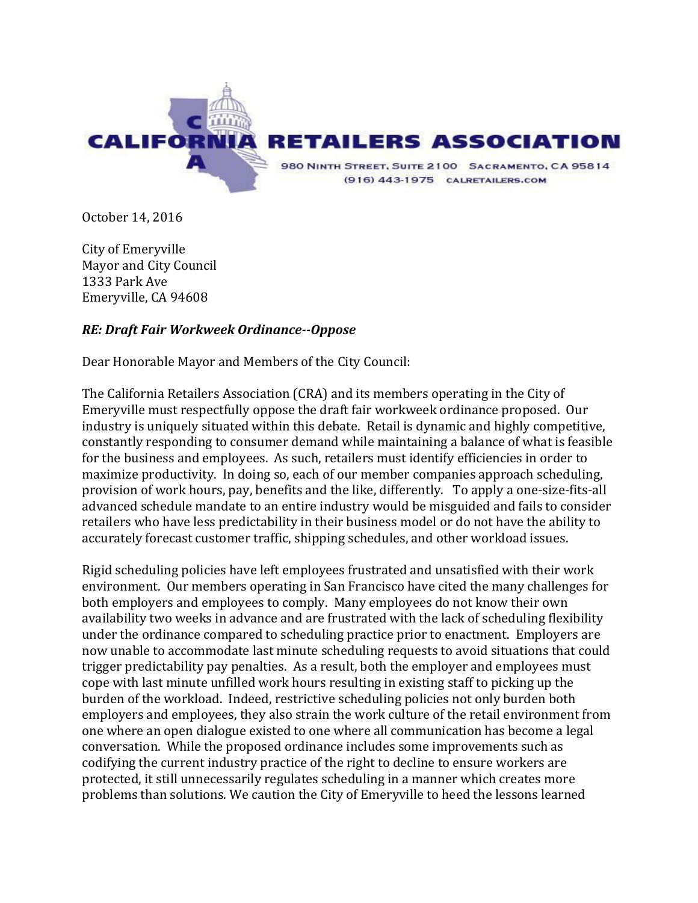

October 14, 2016

City of Emeryville Mayor and City Council 1333 Park Ave Emeryville, CA 94608

## *RE: Draft Fair Workweek Ordinance--Oppose*

Dear Honorable Mayor and Members of the City Council:

The California Retailers Association (CRA) and its members operating in the City of Emeryville must respectfully oppose the draft fair workweek ordinance proposed. Our industry is uniquely situated within this debate. Retail is dynamic and highly competitive, constantly responding to consumer demand while maintaining a balance of what is feasible for the business and employees. As such, retailers must identify efficiencies in order to maximize productivity. In doing so, each of our member companies approach scheduling, provision of work hours, pay, benefits and the like, differently. To apply a one-size-fits-all advanced schedule mandate to an entire industry would be misguided and fails to consider retailers who have less predictability in their business model or do not have the ability to accurately forecast customer traffic, shipping schedules, and other workload issues.

Rigid scheduling policies have left employees frustrated and unsatisfied with their work environment. Our members operating in San Francisco have cited the many challenges for both employers and employees to comply. Many employees do not know their own availability two weeks in advance and are frustrated with the lack of scheduling flexibility under the ordinance compared to scheduling practice prior to enactment. Employers are now unable to accommodate last minute scheduling requests to avoid situations that could trigger predictability pay penalties. As a result, both the employer and employees must cope with last minute unfilled work hours resulting in existing staff to picking up the burden of the workload. Indeed, restrictive scheduling policies not only burden both employers and employees, they also strain the work culture of the retail environment from one where an open dialogue existed to one where all communication has become a legal conversation. While the proposed ordinance includes some improvements such as codifying the current industry practice of the right to decline to ensure workers are protected, it still unnecessarily regulates scheduling in a manner which creates more problems than solutions. We caution the City of Emeryville to heed the lessons learned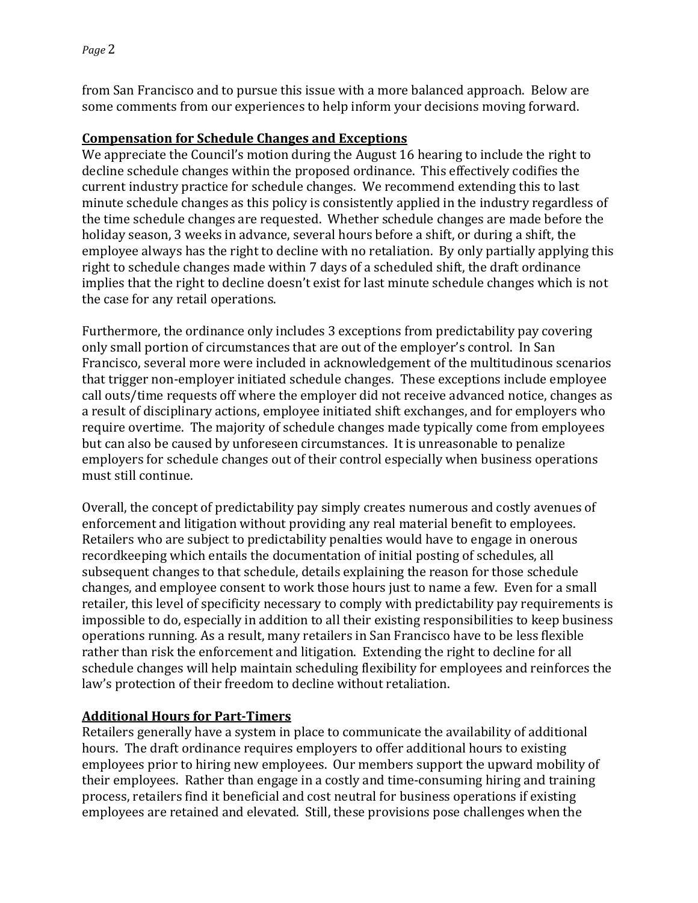from San Francisco and to pursue this issue with a more balanced approach. Below are some comments from our experiences to help inform your decisions moving forward.

## **Compensation for Schedule Changes and Exceptions**

We appreciate the Council's motion during the August 16 hearing to include the right to decline schedule changes within the proposed ordinance. This effectively codifies the current industry practice for schedule changes. We recommend extending this to last minute schedule changes as this policy is consistently applied in the industry regardless of the time schedule changes are requested. Whether schedule changes are made before the holiday season, 3 weeks in advance, several hours before a shift, or during a shift, the employee always has the right to decline with no retaliation. By only partially applying this right to schedule changes made within  $7$  days of a scheduled shift, the draft ordinance implies that the right to decline doesn't exist for last minute schedule changes which is not the case for any retail operations.

Furthermore, the ordinance only includes 3 exceptions from predictability pay covering only small portion of circumstances that are out of the employer's control. In San Francisco, several more were included in acknowledgement of the multitudinous scenarios that trigger non-employer initiated schedule changes. These exceptions include employee call outs/time requests off where the employer did not receive advanced notice, changes as a result of disciplinary actions, employee initiated shift exchanges, and for employers who require overtime. The majority of schedule changes made typically come from employees but can also be caused by unforeseen circumstances. It is unreasonable to penalize employers for schedule changes out of their control especially when business operations must still continue.

Overall, the concept of predictability pay simply creates numerous and costly avenues of enforcement and litigation without providing any real material benefit to employees. Retailers who are subject to predictability penalties would have to engage in onerous recordkeeping which entails the documentation of initial posting of schedules, all subsequent changes to that schedule, details explaining the reason for those schedule changes, and employee consent to work those hours just to name a few. Even for a small retailer, this level of specificity necessary to comply with predictability pay requirements is impossible to do, especially in addition to all their existing responsibilities to keep business operations running. As a result, many retailers in San Francisco have to be less flexible rather than risk the enforcement and litigation. Extending the right to decline for all schedule changes will help maintain scheduling flexibility for employees and reinforces the law's protection of their freedom to decline without retaliation.

## **Additional Hours for Part-Timers**

Retailers generally have a system in place to communicate the availability of additional hours. The draft ordinance requires employers to offer additional hours to existing employees prior to hiring new employees. Our members support the upward mobility of their employees. Rather than engage in a costly and time-consuming hiring and training process, retailers find it beneficial and cost neutral for business operations if existing employees are retained and elevated. Still, these provisions pose challenges when the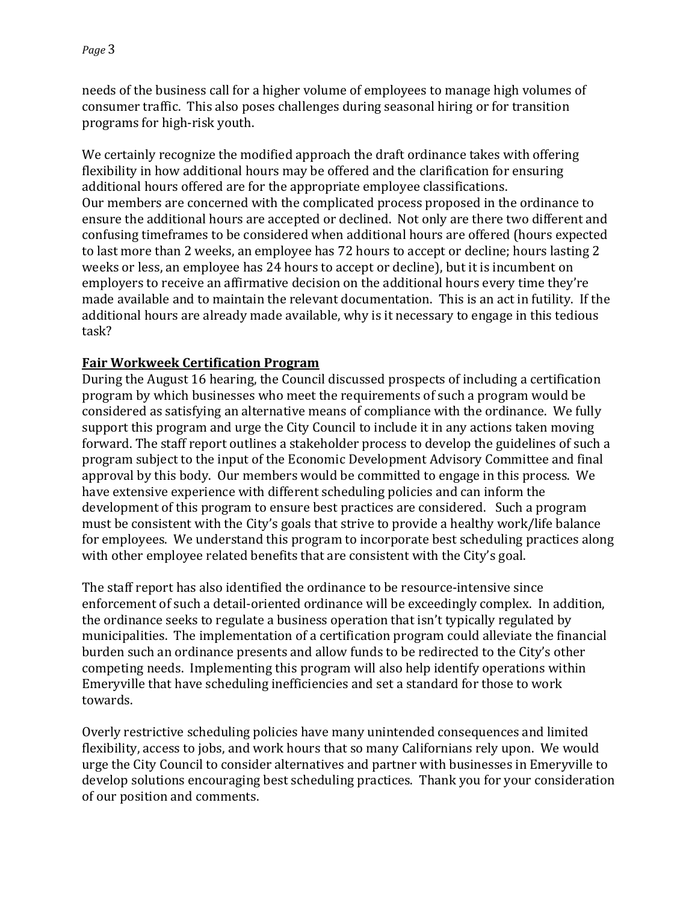needs of the business call for a higher volume of employees to manage high volumes of consumer traffic. This also poses challenges during seasonal hiring or for transition programs for high-risk youth.

We certainly recognize the modified approach the draft ordinance takes with offering flexibility in how additional hours may be offered and the clarification for ensuring additional hours offered are for the appropriate employee classifications. Our members are concerned with the complicated process proposed in the ordinance to ensure the additional hours are accepted or declined. Not only are there two different and confusing timeframes to be considered when additional hours are offered (hours expected to last more than 2 weeks, an employee has 72 hours to accept or decline; hours lasting 2 weeks or less, an employee has 24 hours to accept or decline), but it is incumbent on employers to receive an affirmative decision on the additional hours every time they're made available and to maintain the relevant documentation. This is an act in futility. If the additional hours are already made available, why is it necessary to engage in this tedious task?

## **Fair Workweek Certification Program**

During the August 16 hearing, the Council discussed prospects of including a certification program by which businesses who meet the requirements of such a program would be considered as satisfying an alternative means of compliance with the ordinance. We fully support this program and urge the City Council to include it in any actions taken moving forward. The staff report outlines a stakeholder process to develop the guidelines of such a program subject to the input of the Economic Development Advisory Committee and final approval by this body. Our members would be committed to engage in this process. We have extensive experience with different scheduling policies and can inform the development of this program to ensure best practices are considered. Such a program must be consistent with the City's goals that strive to provide a healthy work/life balance for employees. We understand this program to incorporate best scheduling practices along with other employee related benefits that are consistent with the City's goal.

The staff report has also identified the ordinance to be resource-intensive since enforcement of such a detail-oriented ordinance will be exceedingly complex. In addition, the ordinance seeks to regulate a business operation that isn't typically regulated by municipalities. The implementation of a certification program could alleviate the financial burden such an ordinance presents and allow funds to be redirected to the City's other competing needs. Implementing this program will also help identify operations within Emeryville that have scheduling inefficiencies and set a standard for those to work towards. 

Overly restrictive scheduling policies have many unintended consequences and limited flexibility, access to jobs, and work hours that so many Californians rely upon. We would urge the City Council to consider alternatives and partner with businesses in Emeryville to develop solutions encouraging best scheduling practices. Thank you for your consideration of our position and comments.